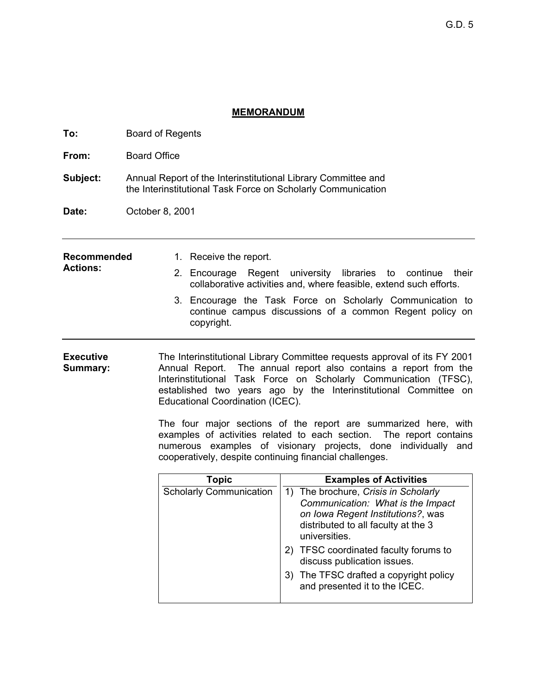# **MEMORANDUM**

| To:                          | <b>Board of Regents</b>                                                                                                                                                                                                                                                                                                                                                                                                                                                                                                                                                                             |  |                                |  |                                                                                                                                                                        |  |
|------------------------------|-----------------------------------------------------------------------------------------------------------------------------------------------------------------------------------------------------------------------------------------------------------------------------------------------------------------------------------------------------------------------------------------------------------------------------------------------------------------------------------------------------------------------------------------------------------------------------------------------------|--|--------------------------------|--|------------------------------------------------------------------------------------------------------------------------------------------------------------------------|--|
| From:                        | <b>Board Office</b>                                                                                                                                                                                                                                                                                                                                                                                                                                                                                                                                                                                 |  |                                |  |                                                                                                                                                                        |  |
| Subject:                     | Annual Report of the Interinstitutional Library Committee and<br>the Interinstitutional Task Force on Scholarly Communication                                                                                                                                                                                                                                                                                                                                                                                                                                                                       |  |                                |  |                                                                                                                                                                        |  |
| Date:                        | October 8, 2001                                                                                                                                                                                                                                                                                                                                                                                                                                                                                                                                                                                     |  |                                |  |                                                                                                                                                                        |  |
| <b>Recommended</b>           |                                                                                                                                                                                                                                                                                                                                                                                                                                                                                                                                                                                                     |  | 1. Receive the report.         |  |                                                                                                                                                                        |  |
| <b>Actions:</b>              |                                                                                                                                                                                                                                                                                                                                                                                                                                                                                                                                                                                                     |  |                                |  | 2. Encourage Regent university libraries to continue<br>their<br>collaborative activities and, where feasible, extend such efforts.                                    |  |
|                              |                                                                                                                                                                                                                                                                                                                                                                                                                                                                                                                                                                                                     |  | copyright.                     |  | 3. Encourage the Task Force on Scholarly Communication to<br>continue campus discussions of a common Regent policy on                                                  |  |
| <b>Executive</b><br>Summary: | The Interinstitutional Library Committee requests approval of its FY 2001<br>Annual Report. The annual report also contains a report from the<br>Interinstitutional Task Force on Scholarly Communication (TFSC),<br>established two years ago by the Interinstitutional Committee on<br>Educational Coordination (ICEC).<br>The four major sections of the report are summarized here, with<br>examples of activities related to each section.<br>The report contains<br>numerous examples of visionary projects, done individually and<br>cooperatively, despite continuing financial challenges. |  |                                |  |                                                                                                                                                                        |  |
|                              |                                                                                                                                                                                                                                                                                                                                                                                                                                                                                                                                                                                                     |  | <b>Topic</b>                   |  | <b>Examples of Activities</b>                                                                                                                                          |  |
|                              |                                                                                                                                                                                                                                                                                                                                                                                                                                                                                                                                                                                                     |  | <b>Scholarly Communication</b> |  | 1) The brochure, Crisis in Scholarly<br>Communication: What is the Impact<br>on Iowa Regent Institutions?, was<br>distributed to all faculty at the 3<br>universities. |  |
|                              |                                                                                                                                                                                                                                                                                                                                                                                                                                                                                                                                                                                                     |  |                                |  | 2) TFSC coordinated faculty forums to<br>discuss publication issues.                                                                                                   |  |
|                              |                                                                                                                                                                                                                                                                                                                                                                                                                                                                                                                                                                                                     |  |                                |  | 3) The TFSC drafted a copyright policy<br>and presented it to the ICEC.                                                                                                |  |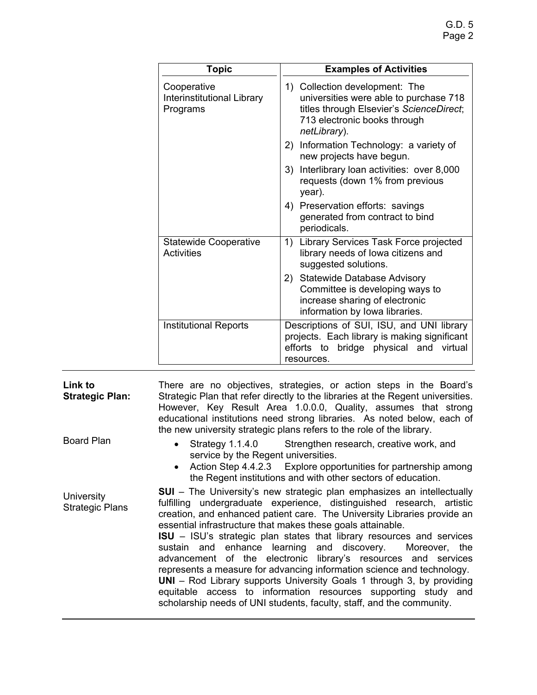| <b>Topic</b>                                                 | <b>Examples of Activities</b>                                                                                                                                        |  |  |
|--------------------------------------------------------------|----------------------------------------------------------------------------------------------------------------------------------------------------------------------|--|--|
| Cooperative<br><b>Interinstitutional Library</b><br>Programs | 1) Collection development: The<br>universities were able to purchase 718<br>titles through Elsevier's ScienceDirect;<br>713 electronic books through<br>netLibrary). |  |  |
|                                                              | Information Technology: a variety of<br>2)<br>new projects have begun.                                                                                               |  |  |
|                                                              | Interlibrary loan activities: over 8,000<br>3)<br>requests (down 1% from previous<br>year).                                                                          |  |  |
|                                                              | 4) Preservation efforts: savings<br>generated from contract to bind<br>periodicals.                                                                                  |  |  |
| <b>Statewide Cooperative</b><br><b>Activities</b>            | Library Services Task Force projected<br>1)<br>library needs of lowa citizens and<br>suggested solutions.                                                            |  |  |
|                                                              | 2)<br><b>Statewide Database Advisory</b><br>Committee is developing ways to<br>increase sharing of electronic<br>information by lowa libraries.                      |  |  |
| <b>Institutional Reports</b>                                 | Descriptions of SUI, ISU, and UNI library<br>projects. Each library is making significant<br>efforts to<br>bridge physical and<br>virtual<br>resources.              |  |  |

| Link to<br><b>Strategic Plan:</b>    | There are no objectives, strategies, or action steps in the Board's<br>Strategic Plan that refer directly to the libraries at the Regent universities.<br>However, Key Result Area 1.0.0.0, Quality, assumes that strong<br>educational institutions need strong libraries. As noted below, each of<br>the new university strategic plans refers to the role of the library.                                                                                                                                                                                                                                                                                                                                                                                                                                          |
|--------------------------------------|-----------------------------------------------------------------------------------------------------------------------------------------------------------------------------------------------------------------------------------------------------------------------------------------------------------------------------------------------------------------------------------------------------------------------------------------------------------------------------------------------------------------------------------------------------------------------------------------------------------------------------------------------------------------------------------------------------------------------------------------------------------------------------------------------------------------------|
| Board Plan                           | • Strategy 1.1.4.0 Strengthen research, creative work, and<br>service by the Regent universities.<br>• Action Step 4.4.2.3 Explore opportunities for partnership among<br>the Regent institutions and with other sectors of education.                                                                                                                                                                                                                                                                                                                                                                                                                                                                                                                                                                                |
| University<br><b>Strategic Plans</b> | <b>SUI</b> – The University's new strategic plan emphasizes an intellectually<br>fulfilling undergraduate experience, distinguished research, artistic<br>creation, and enhanced patient care. The University Libraries provide an<br>essential infrastructure that makes these goals attainable.<br><b>ISU</b> – ISU's strategic plan states that library resources and services<br>sustain and enhance learning and discovery. Moreover, the<br>advancement of the electronic library's resources and services<br>represents a measure for advancing information science and technology.<br><b>UNI</b> – Rod Library supports University Goals 1 through 3, by providing<br>equitable access to information resources supporting study and<br>scholarship needs of UNI students, faculty, staff, and the community. |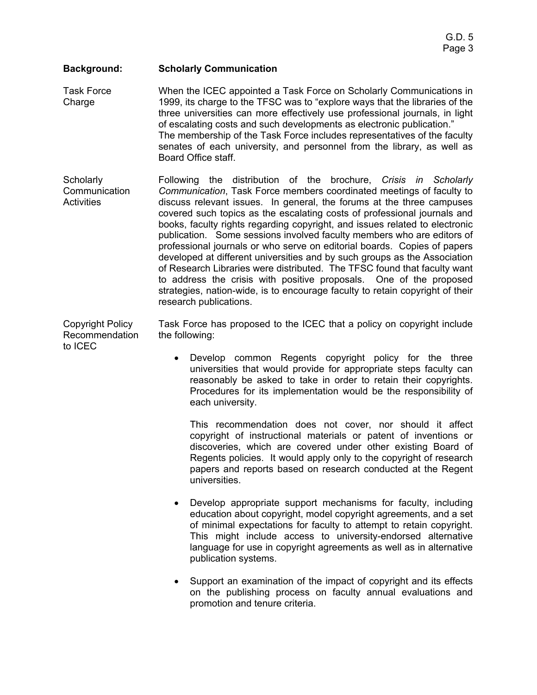#### **Background: Scholarly Communication**

Task Force Charge When the ICEC appointed a Task Force on Scholarly Communications in 1999, its charge to the TFSC was to "explore ways that the libraries of the three universities can more effectively use professional journals, in light of escalating costs and such developments as electronic publication." The membership of the Task Force includes representatives of the faculty senates of each university, and personnel from the library, as well as Board Office staff.

**Scholarly Communication Activities** Following the distribution of the brochure, *Crisis in Scholarly Communication*, Task Force members coordinated meetings of faculty to discuss relevant issues. In general, the forums at the three campuses covered such topics as the escalating costs of professional journals and books, faculty rights regarding copyright, and issues related to electronic publication. Some sessions involved faculty members who are editors of professional journals or who serve on editorial boards. Copies of papers developed at different universities and by such groups as the Association of Research Libraries were distributed. The TFSC found that faculty want to address the crisis with positive proposals. One of the proposed strategies, nation-wide, is to encourage faculty to retain copyright of their research publications.

Copyright Policy Recommendation to ICEC

Task Force has proposed to the ICEC that a policy on copyright include the following:

• Develop common Regents copyright policy for the three universities that would provide for appropriate steps faculty can reasonably be asked to take in order to retain their copyrights. Procedures for its implementation would be the responsibility of each university.

This recommendation does not cover, nor should it affect copyright of instructional materials or patent of inventions or discoveries, which are covered under other existing Board of Regents policies. It would apply only to the copyright of research papers and reports based on research conducted at the Regent universities.

- Develop appropriate support mechanisms for faculty, including education about copyright, model copyright agreements, and a set of minimal expectations for faculty to attempt to retain copyright. This might include access to university-endorsed alternative language for use in copyright agreements as well as in alternative publication systems.
- Support an examination of the impact of copyright and its effects on the publishing process on faculty annual evaluations and promotion and tenure criteria.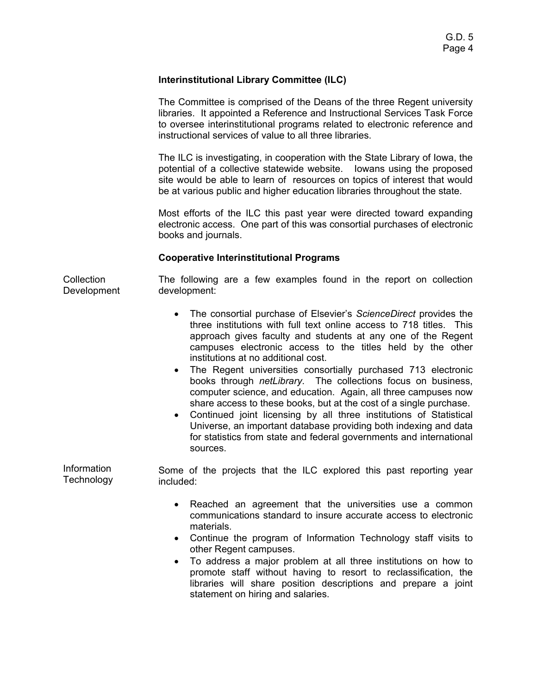## **Interinstitutional Library Committee (ILC)**

The Committee is comprised of the Deans of the three Regent university libraries. It appointed a Reference and Instructional Services Task Force to oversee interinstitutional programs related to electronic reference and instructional services of value to all three libraries.

The ILC is investigating, in cooperation with the State Library of Iowa, the potential of a collective statewide website. Iowans using the proposed site would be able to learn of resources on topics of interest that would be at various public and higher education libraries throughout the state.

Most efforts of the ILC this past year were directed toward expanding electronic access. One part of this was consortial purchases of electronic books and journals.

## **Cooperative Interinstitutional Programs**

**Collection** Development The following are a few examples found in the report on collection development:

- The consortial purchase of Elsevier's *ScienceDirect* provides the three institutions with full text online access to 718 titles. This approach gives faculty and students at any one of the Regent campuses electronic access to the titles held by the other institutions at no additional cost.
- The Regent universities consortially purchased 713 electronic books through *netLibrary*. The collections focus on business, computer science, and education. Again, all three campuses now share access to these books, but at the cost of a single purchase.
- Continued joint licensing by all three institutions of Statistical Universe, an important database providing both indexing and data for statistics from state and federal governments and international sources.

Information **Technology** Some of the projects that the ILC explored this past reporting year included:

- Reached an agreement that the universities use a common communications standard to insure accurate access to electronic materials.
- Continue the program of Information Technology staff visits to other Regent campuses.
- To address a major problem at all three institutions on how to promote staff without having to resort to reclassification, the libraries will share position descriptions and prepare a joint statement on hiring and salaries.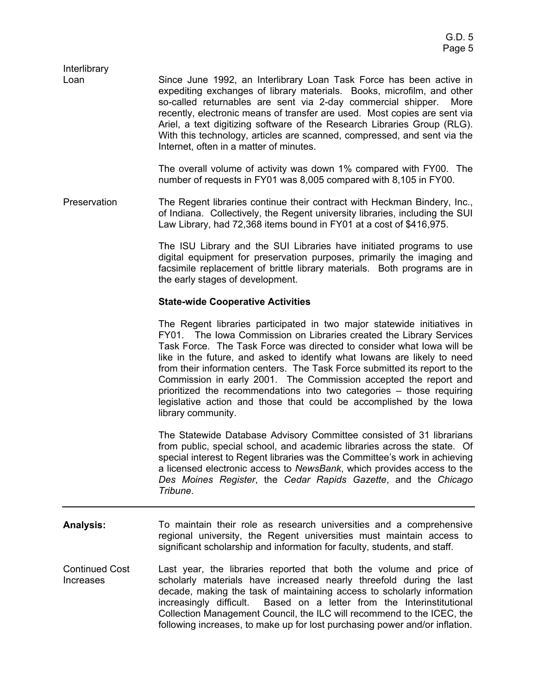| Interlibrary |                                                                                                                                                                                                                                                                                                                                                                                                                                                                                                    |
|--------------|----------------------------------------------------------------------------------------------------------------------------------------------------------------------------------------------------------------------------------------------------------------------------------------------------------------------------------------------------------------------------------------------------------------------------------------------------------------------------------------------------|
| Loan         | Since June 1992, an Interlibrary Loan Task Force has been active in<br>expediting exchanges of library materials. Books, microfilm, and other<br>so-called returnables are sent via 2-day commercial shipper. More<br>recently, electronic means of transfer are used. Most copies are sent via<br>Ariel, a text digitizing software of the Research Libraries Group (RLG).<br>With this technology, articles are scanned, compressed, and sent via the<br>Internet, often in a matter of minutes. |
|              | The overall volume of activity was down 1% compared with FY00. The<br>number of requests in FY01 was 8,005 compared with 8,105 in FY00.                                                                                                                                                                                                                                                                                                                                                            |
| Preservation | The Regent libraries continue their contract with Heckman Bindery, Inc.,                                                                                                                                                                                                                                                                                                                                                                                                                           |

of Indiana. Collectively, the Regent university libraries, including the SUI Law Library, had 72,368 items bound in FY01 at a cost of \$416,975.

> The ISU Library and the SUI Libraries have initiated programs to use digital equipment for preservation purposes, primarily the imaging and facsimile replacement of brittle library materials. Both programs are in the early stages of development.

#### **State-wide Cooperative Activities**

The Regent libraries participated in two major statewide initiatives in FY01. The Iowa Commission on Libraries created the Library Services Task Force. The Task Force was directed to consider what Iowa will be like in the future, and asked to identify what Iowans are likely to need from their information centers. The Task Force submitted its report to the Commission in early 2001. The Commission accepted the report and prioritized the recommendations into two categories – those requiring legislative action and those that could be accomplished by the Iowa library community.

The Statewide Database Advisory Committee consisted of 31 librarians from public, special school, and academic libraries across the state. Of special interest to Regent libraries was the Committee's work in achieving a licensed electronic access to *NewsBank*, which provides access to the *Des Moines Register*, the *Cedar Rapids Gazette*, and the *Chicago Tribune*.

- **Analysis:**  To maintain their role as research universities and a comprehensive regional university, the Regent universities must maintain access to significant scholarship and information for faculty, students, and staff.
- Continued Cost Increases Last year, the libraries reported that both the volume and price of scholarly materials have increased nearly threefold during the last decade, making the task of maintaining access to scholarly information increasingly difficult. Based on a letter from the Interinstitutional Collection Management Council, the ILC will recommend to the ICEC, the following increases, to make up for lost purchasing power and/or inflation.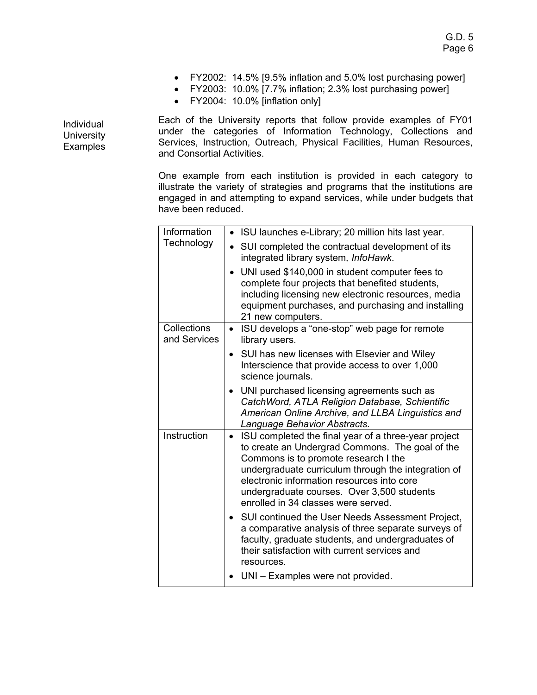- FY2002: 14.5% [9.5% inflation and 5.0% lost purchasing power]
- FY2003: 10.0% [7.7% inflation; 2.3% lost purchasing power]
- FY2004: 10.0% [inflation only]

Each of the University reports that follow provide examples of FY01 under the categories of Information Technology, Collections and Services, Instruction, Outreach, Physical Facilities, Human Resources, and Consortial Activities.

One example from each institution is provided in each category to illustrate the variety of strategies and programs that the institutions are engaged in and attempting to expand services, while under budgets that have been reduced.

| Information                 | • ISU launches e-Library; 20 million hits last year.                                                                                                                                                                                                                                                                                                   |
|-----------------------------|--------------------------------------------------------------------------------------------------------------------------------------------------------------------------------------------------------------------------------------------------------------------------------------------------------------------------------------------------------|
| Technology                  | SUI completed the contractual development of its<br>integrated library system, InfoHawk.                                                                                                                                                                                                                                                               |
|                             | UNI used \$140,000 in student computer fees to<br>complete four projects that benefited students,<br>including licensing new electronic resources, media<br>equipment purchases, and purchasing and installing<br>21 new computers.                                                                                                                    |
| Collections<br>and Services | ISU develops a "one-stop" web page for remote<br>$\bullet$<br>library users.                                                                                                                                                                                                                                                                           |
|                             | SUI has new licenses with Elsevier and Wiley<br>$\bullet$<br>Interscience that provide access to over 1,000<br>science journals.                                                                                                                                                                                                                       |
|                             | UNI purchased licensing agreements such as<br>CatchWord, ATLA Religion Database, Schientific<br>American Online Archive, and LLBA Linguistics and<br>Language Behavior Abstracts.                                                                                                                                                                      |
| Instruction                 | ISU completed the final year of a three-year project<br>$\bullet$<br>to create an Undergrad Commons. The goal of the<br>Commons is to promote research I the<br>undergraduate curriculum through the integration of<br>electronic information resources into core<br>undergraduate courses. Over 3,500 students<br>enrolled in 34 classes were served. |
|                             | SUI continued the User Needs Assessment Project,<br>a comparative analysis of three separate surveys of<br>faculty, graduate students, and undergraduates of<br>their satisfaction with current services and<br>resources.                                                                                                                             |
|                             | UNI - Examples were not provided.                                                                                                                                                                                                                                                                                                                      |

Individual **University** Examples